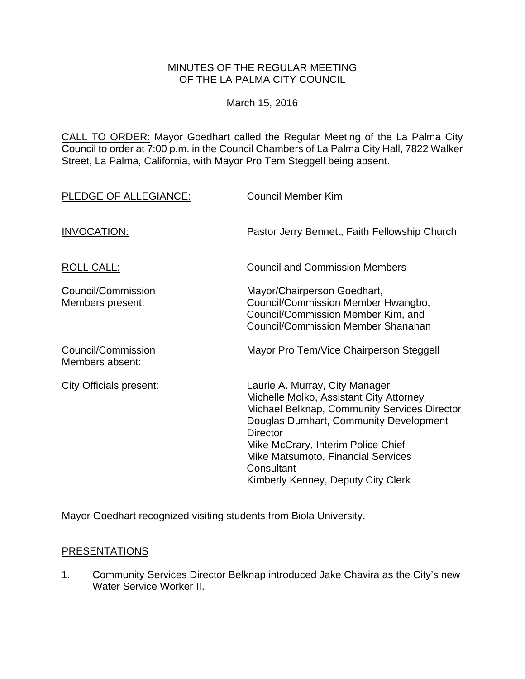### MINUTES OF THE REGULAR MEETING OF THE LA PALMA CITY COUNCIL

March 15, 2016

CALL TO ORDER: Mayor Goedhart called the Regular Meeting of the La Palma City Council to order at 7:00 p.m. in the Council Chambers of La Palma City Hall, 7822 Walker Street, La Palma, California, with Mayor Pro Tem Steggell being absent.

| PLEDGE OF ALLEGIANCE:                  | <b>Council Member Kim</b>                                                                                                                                                                                                                                                                                              |
|----------------------------------------|------------------------------------------------------------------------------------------------------------------------------------------------------------------------------------------------------------------------------------------------------------------------------------------------------------------------|
| <b>INVOCATION:</b>                     | Pastor Jerry Bennett, Faith Fellowship Church                                                                                                                                                                                                                                                                          |
| <b>ROLL CALL:</b>                      | <b>Council and Commission Members</b>                                                                                                                                                                                                                                                                                  |
| Council/Commission<br>Members present: | Mayor/Chairperson Goedhart,<br>Council/Commission Member Hwangbo,<br>Council/Commission Member Kim, and<br><b>Council/Commission Member Shanahan</b>                                                                                                                                                                   |
| Council/Commission<br>Members absent:  | Mayor Pro Tem/Vice Chairperson Steggell                                                                                                                                                                                                                                                                                |
| City Officials present:                | Laurie A. Murray, City Manager<br>Michelle Molko, Assistant City Attorney<br>Michael Belknap, Community Services Director<br>Douglas Dumhart, Community Development<br><b>Director</b><br>Mike McCrary, Interim Police Chief<br>Mike Matsumoto, Financial Services<br>Consultant<br>Kimberly Kenney, Deputy City Clerk |

Mayor Goedhart recognized visiting students from Biola University.

### PRESENTATIONS

1. Community Services Director Belknap introduced Jake Chavira as the City's new Water Service Worker II.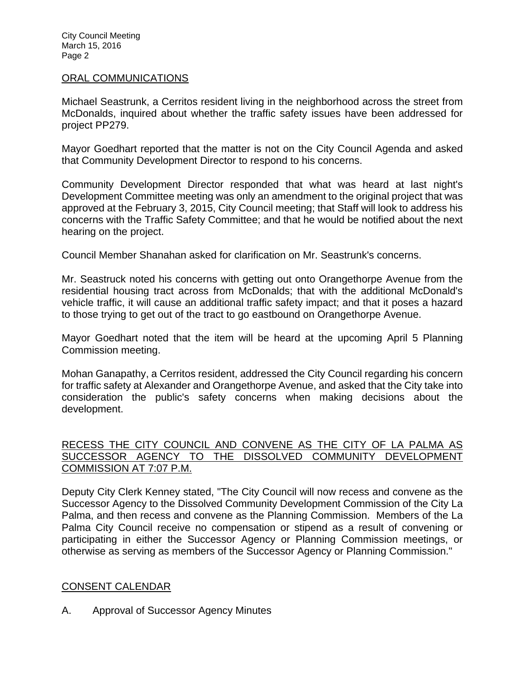#### ORAL COMMUNICATIONS

Michael Seastrunk, a Cerritos resident living in the neighborhood across the street from McDonalds, inquired about whether the traffic safety issues have been addressed for project PP279.

Mayor Goedhart reported that the matter is not on the City Council Agenda and asked that Community Development Director to respond to his concerns.

Community Development Director responded that what was heard at last night's Development Committee meeting was only an amendment to the original project that was approved at the February 3, 2015, City Council meeting; that Staff will look to address his concerns with the Traffic Safety Committee; and that he would be notified about the next hearing on the project.

Council Member Shanahan asked for clarification on Mr. Seastrunk's concerns.

Mr. Seastruck noted his concerns with getting out onto Orangethorpe Avenue from the residential housing tract across from McDonalds; that with the additional McDonald's vehicle traffic, it will cause an additional traffic safety impact; and that it poses a hazard to those trying to get out of the tract to go eastbound on Orangethorpe Avenue.

Mayor Goedhart noted that the item will be heard at the upcoming April 5 Planning Commission meeting.

Mohan Ganapathy, a Cerritos resident, addressed the City Council regarding his concern for traffic safety at Alexander and Orangethorpe Avenue, and asked that the City take into consideration the public's safety concerns when making decisions about the development.

### RECESS THE CITY COUNCIL AND CONVENE AS THE CITY OF LA PALMA AS SUCCESSOR AGENCY TO THE DISSOLVED COMMUNITY DEVELOPMENT COMMISSION AT 7:07 P.M.

Deputy City Clerk Kenney stated, "The City Council will now recess and convene as the Successor Agency to the Dissolved Community Development Commission of the City La Palma, and then recess and convene as the Planning Commission. Members of the La Palma City Council receive no compensation or stipend as a result of convening or participating in either the Successor Agency or Planning Commission meetings, or otherwise as serving as members of the Successor Agency or Planning Commission."

### CONSENT CALENDAR

A. Approval of Successor Agency Minutes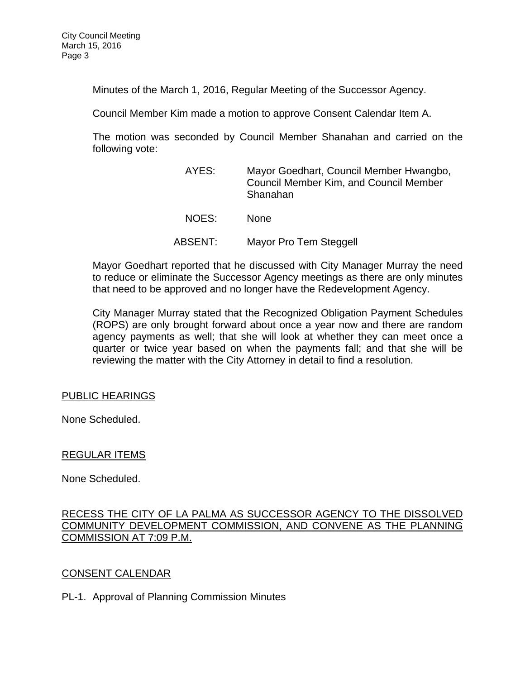Minutes of the March 1, 2016, Regular Meeting of the Successor Agency.

Council Member Kim made a motion to approve Consent Calendar Item A.

The motion was seconded by Council Member Shanahan and carried on the following vote:

| AYES:   | Mayor Goedhart, Council Member Hwangbo,<br><b>Council Member Kim, and Council Member</b><br>Shanahan |
|---------|------------------------------------------------------------------------------------------------------|
| NOES:   | <b>None</b>                                                                                          |
| ABSENT: | Mayor Pro Tem Steggell                                                                               |

Mayor Goedhart reported that he discussed with City Manager Murray the need to reduce or eliminate the Successor Agency meetings as there are only minutes that need to be approved and no longer have the Redevelopment Agency.

City Manager Murray stated that the Recognized Obligation Payment Schedules (ROPS) are only brought forward about once a year now and there are random agency payments as well; that she will look at whether they can meet once a quarter or twice year based on when the payments fall; and that she will be reviewing the matter with the City Attorney in detail to find a resolution.

### PUBLIC HEARINGS

None Scheduled.

### REGULAR ITEMS

None Scheduled.

### RECESS THE CITY OF LA PALMA AS SUCCESSOR AGENCY TO THE DISSOLVED COMMUNITY DEVELOPMENT COMMISSION, AND CONVENE AS THE PLANNING COMMISSION AT 7:09 P.M.

### CONSENT CALENDAR

PL-1. Approval of Planning Commission Minutes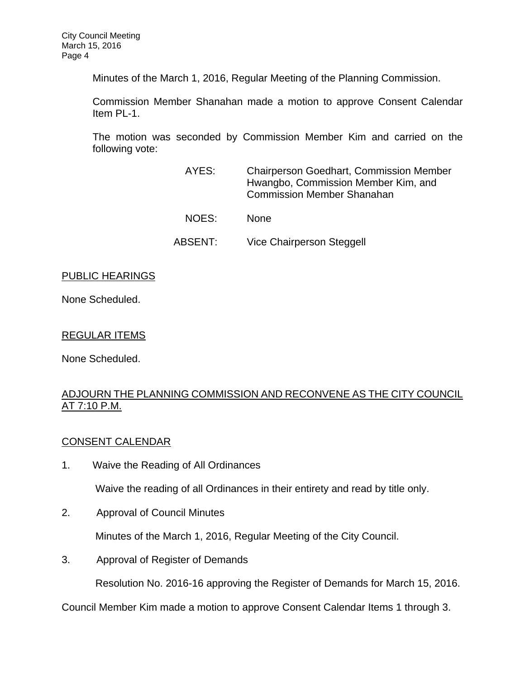Minutes of the March 1, 2016, Regular Meeting of the Planning Commission.

Commission Member Shanahan made a motion to approve Consent Calendar Item PL-1.

The motion was seconded by Commission Member Kim and carried on the following vote:

| AYES:   | <b>Chairperson Goedhart, Commission Member</b><br>Hwangbo, Commission Member Kim, and<br><b>Commission Member Shanahan</b> |
|---------|----------------------------------------------------------------------------------------------------------------------------|
| NOES:   | <b>None</b>                                                                                                                |
| ABSENT: | Vice Chairperson Steggell                                                                                                  |

## PUBLIC HEARINGS

None Scheduled.

## REGULAR ITEMS

None Scheduled.

## ADJOURN THE PLANNING COMMISSION AND RECONVENE AS THE CITY COUNCIL AT 7:10 P.M.

# CONSENT CALENDAR

1. Waive the Reading of All Ordinances

Waive the reading of all Ordinances in their entirety and read by title only.

2. Approval of Council Minutes

Minutes of the March 1, 2016, Regular Meeting of the City Council.

3. Approval of Register of Demands

Resolution No. 2016-16 approving the Register of Demands for March 15, 2016.

Council Member Kim made a motion to approve Consent Calendar Items 1 through 3.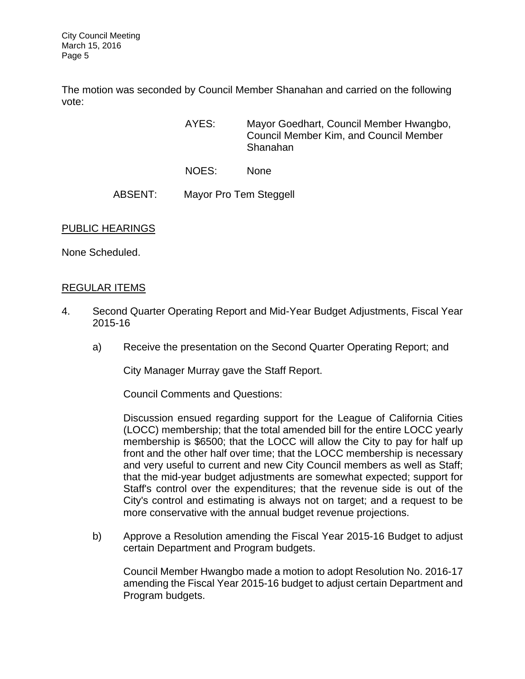The motion was seconded by Council Member Shanahan and carried on the following vote:

- AYES: Mayor Goedhart, Council Member Hwangbo, Council Member Kim, and Council Member Shanahan
- NOES: None

## ABSENT: Mayor Pro Tem Steggell

### PUBLIC HEARINGS

None Scheduled.

### REGULAR ITEMS

- 4. Second Quarter Operating Report and Mid-Year Budget Adjustments, Fiscal Year 2015-16
	- a) Receive the presentation on the Second Quarter Operating Report; and

City Manager Murray gave the Staff Report.

Council Comments and Questions:

Discussion ensued regarding support for the League of California Cities (LOCC) membership; that the total amended bill for the entire LOCC yearly membership is \$6500; that the LOCC will allow the City to pay for half up front and the other half over time; that the LOCC membership is necessary and very useful to current and new City Council members as well as Staff; that the mid-year budget adjustments are somewhat expected; support for Staff's control over the expenditures; that the revenue side is out of the City's control and estimating is always not on target; and a request to be more conservative with the annual budget revenue projections.

b) Approve a Resolution amending the Fiscal Year 2015-16 Budget to adjust certain Department and Program budgets.

Council Member Hwangbo made a motion to adopt Resolution No. 2016-17 amending the Fiscal Year 2015-16 budget to adjust certain Department and Program budgets.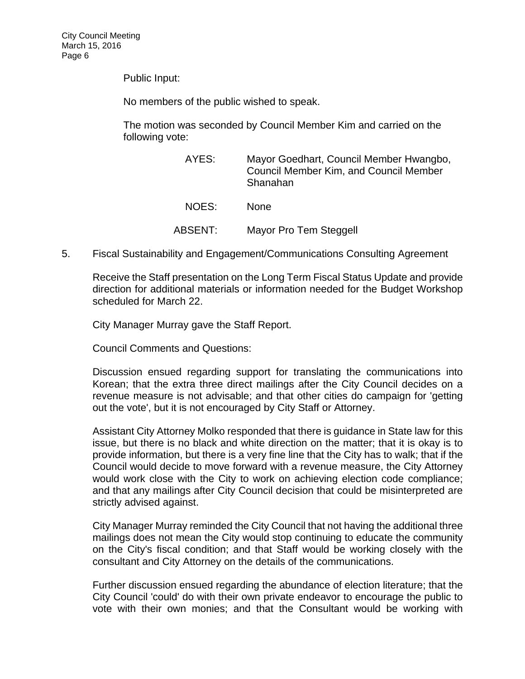Public Input:

No members of the public wished to speak.

The motion was seconded by Council Member Kim and carried on the following vote:

| AYES:   | Mayor Goedhart, Council Member Hwangbo,<br><b>Council Member Kim, and Council Member</b><br>Shanahan |
|---------|------------------------------------------------------------------------------------------------------|
| NOES:   | <b>None</b>                                                                                          |
| ABSENT: | Mayor Pro Tem Steggell                                                                               |

5. Fiscal Sustainability and Engagement/Communications Consulting Agreement

Receive the Staff presentation on the Long Term Fiscal Status Update and provide direction for additional materials or information needed for the Budget Workshop scheduled for March 22.

City Manager Murray gave the Staff Report.

Council Comments and Questions:

Discussion ensued regarding support for translating the communications into Korean; that the extra three direct mailings after the City Council decides on a revenue measure is not advisable; and that other cities do campaign for 'getting out the vote', but it is not encouraged by City Staff or Attorney.

Assistant City Attorney Molko responded that there is guidance in State law for this issue, but there is no black and white direction on the matter; that it is okay is to provide information, but there is a very fine line that the City has to walk; that if the Council would decide to move forward with a revenue measure, the City Attorney would work close with the City to work on achieving election code compliance; and that any mailings after City Council decision that could be misinterpreted are strictly advised against.

City Manager Murray reminded the City Council that not having the additional three mailings does not mean the City would stop continuing to educate the community on the City's fiscal condition; and that Staff would be working closely with the consultant and City Attorney on the details of the communications.

Further discussion ensued regarding the abundance of election literature; that the City Council 'could' do with their own private endeavor to encourage the public to vote with their own monies; and that the Consultant would be working with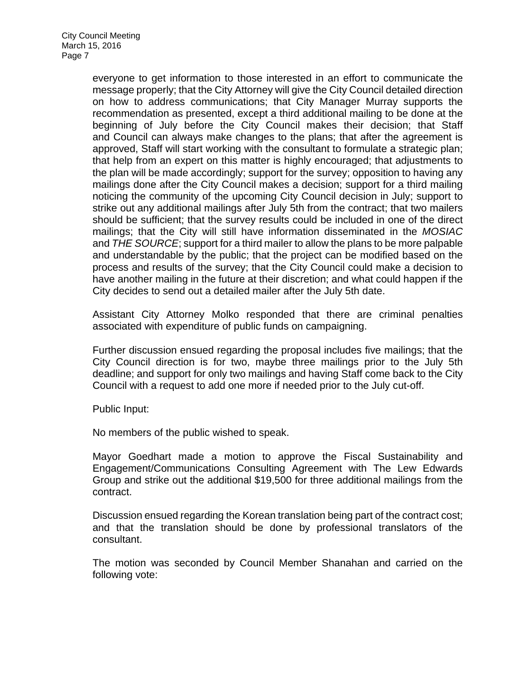everyone to get information to those interested in an effort to communicate the message properly; that the City Attorney will give the City Council detailed direction on how to address communications; that City Manager Murray supports the recommendation as presented, except a third additional mailing to be done at the beginning of July before the City Council makes their decision; that Staff and Council can always make changes to the plans; that after the agreement is approved, Staff will start working with the consultant to formulate a strategic plan; that help from an expert on this matter is highly encouraged; that adjustments to the plan will be made accordingly; support for the survey; opposition to having any mailings done after the City Council makes a decision; support for a third mailing noticing the community of the upcoming City Council decision in July; support to strike out any additional mailings after July 5th from the contract; that two mailers should be sufficient; that the survey results could be included in one of the direct mailings; that the City will still have information disseminated in the *MOSIAC* and *THE SOURCE*; support for a third mailer to allow the plans to be more palpable and understandable by the public; that the project can be modified based on the process and results of the survey; that the City Council could make a decision to have another mailing in the future at their discretion; and what could happen if the City decides to send out a detailed mailer after the July 5th date.

Assistant City Attorney Molko responded that there are criminal penalties associated with expenditure of public funds on campaigning.

Further discussion ensued regarding the proposal includes five mailings; that the City Council direction is for two, maybe three mailings prior to the July 5th deadline; and support for only two mailings and having Staff come back to the City Council with a request to add one more if needed prior to the July cut-off.

Public Input:

No members of the public wished to speak.

Mayor Goedhart made a motion to approve the Fiscal Sustainability and Engagement/Communications Consulting Agreement with The Lew Edwards Group and strike out the additional \$19,500 for three additional mailings from the contract.

Discussion ensued regarding the Korean translation being part of the contract cost; and that the translation should be done by professional translators of the consultant.

The motion was seconded by Council Member Shanahan and carried on the following vote: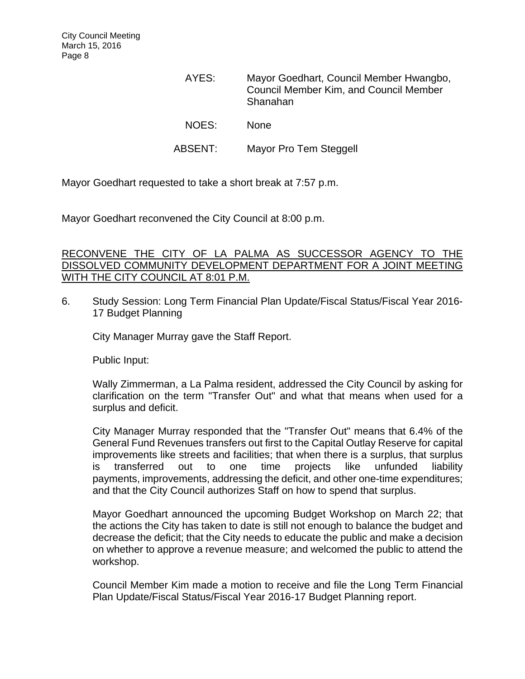| AYES:   | Mayor Goedhart, Council Member Hwangbo,<br><b>Council Member Kim, and Council Member</b><br>Shanahan |
|---------|------------------------------------------------------------------------------------------------------|
| NOES:   | <b>None</b>                                                                                          |
| ABSENT: | Mayor Pro Tem Steggell                                                                               |

Mayor Goedhart requested to take a short break at 7:57 p.m.

Mayor Goedhart reconvened the City Council at 8:00 p.m.

### RECONVENE THE CITY OF LA PALMA AS SUCCESSOR AGENCY TO THE DISSOLVED COMMUNITY DEVELOPMENT DEPARTMENT FOR A JOINT MEETING WITH THE CITY COUNCIL AT 8:01 P.M.

6. Study Session: Long Term Financial Plan Update/Fiscal Status/Fiscal Year 2016- 17 Budget Planning

City Manager Murray gave the Staff Report.

Public Input:

Wally Zimmerman, a La Palma resident, addressed the City Council by asking for clarification on the term "Transfer Out" and what that means when used for a surplus and deficit.

City Manager Murray responded that the "Transfer Out" means that 6.4% of the General Fund Revenues transfers out first to the Capital Outlay Reserve for capital improvements like streets and facilities; that when there is a surplus, that surplus is transferred out to one time projects like unfunded liability payments, improvements, addressing the deficit, and other one-time expenditures; and that the City Council authorizes Staff on how to spend that surplus.

Mayor Goedhart announced the upcoming Budget Workshop on March 22; that the actions the City has taken to date is still not enough to balance the budget and decrease the deficit; that the City needs to educate the public and make a decision on whether to approve a revenue measure; and welcomed the public to attend the workshop.

Council Member Kim made a motion to receive and file the Long Term Financial Plan Update/Fiscal Status/Fiscal Year 2016-17 Budget Planning report.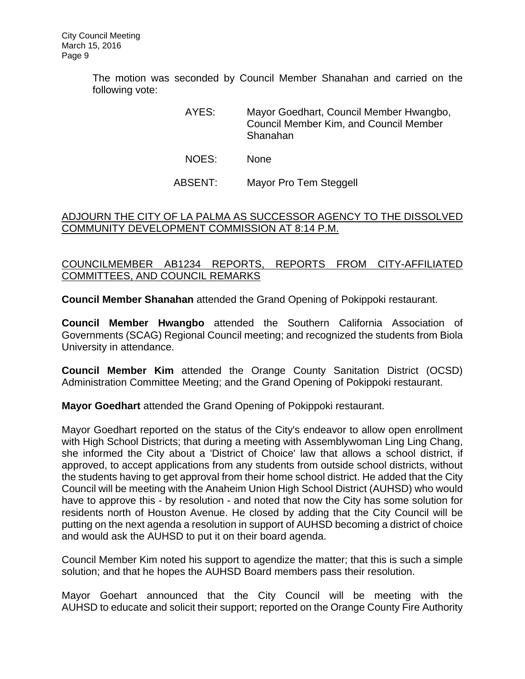The motion was seconded by Council Member Shanahan and carried on the following vote:

> AYES: Mayor Goedhart, Council Member Hwangbo, Council Member Kim, and Council Member Shanahan

- NOES: None
- ABSENT: Mayor Pro Tem Steggell

### ADJOURN THE CITY OF LA PALMA AS SUCCESSOR AGENCY TO THE DISSOLVED COMMUNITY DEVELOPMENT COMMISSION AT 8:14 P.M.

# COUNCILMEMBER AB1234 REPORTS, REPORTS FROM CITY-AFFILIATED COMMITTEES, AND COUNCIL REMARKS

**Council Member Shanahan** attended the Grand Opening of Pokippoki restaurant.

**Council Member Hwangbo** attended the Southern California Association of Governments (SCAG) Regional Council meeting; and recognized the students from Biola University in attendance.

**Council Member Kim** attended the Orange County Sanitation District (OCSD) Administration Committee Meeting; and the Grand Opening of Pokippoki restaurant.

**Mayor Goedhart** attended the Grand Opening of Pokippoki restaurant.

Mayor Goedhart reported on the status of the City's endeavor to allow open enrollment with High School Districts; that during a meeting with Assemblywoman Ling Ling Chang, she informed the City about a 'District of Choice' law that allows a school district, if approved, to accept applications from any students from outside school districts, without the students having to get approval from their home school district. He added that the City Council will be meeting with the Anaheim Union High School District (AUHSD) who would have to approve this - by resolution - and noted that now the City has some solution for residents north of Houston Avenue. He closed by adding that the City Council will be putting on the next agenda a resolution in support of AUHSD becoming a district of choice and would ask the AUHSD to put it on their board agenda.

Council Member Kim noted his support to agendize the matter; that this is such a simple solution; and that he hopes the AUHSD Board members pass their resolution.

Mayor Goehart announced that the City Council will be meeting with the AUHSD to educate and solicit their support; reported on the Orange County Fire Authority